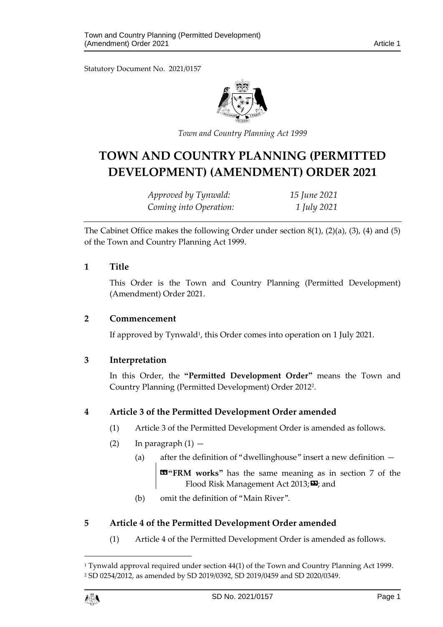Statutory Document No. 2021/0157



*Town and Country Planning Act 1999*

# **TOWN AND COUNTRY PLANNING (PERMITTED DEVELOPMENT) (AMENDMENT) ORDER 2021**

*Approved by Tynwald: 15 June 2021 Coming into Operation: 1 July 2021*

The Cabinet Office makes the following Order under section 8(1), (2)(a), (3), (4) and (5) of the Town and Country Planning Act 1999.

#### **1 Title**

This Order is the Town and Country Planning (Permitted Development) (Amendment) Order 2021.

#### **2 Commencement**

If approved by Tynwald<sup>1</sup>, this Order comes into operation on 1 July 2021.

# **3 Interpretation**

In this Order, the **"Permitted Development Order"** means the Town and Country Planning (Permitted Development) Order 2012<sup>2</sup> .

# **4 Article 3 of the Permitted Development Order amended**

- (1) Article 3 of the Permitted Development Order is amended as follows.
- (2) In paragraph  $(1)$ 
	- (a) after the definition of "dwellinghouse" insert a new definition —

**«"FRM works"** has the same meaning as in section 7 of the Flood Risk Management Act 2013; **D**; and

(b) omit the definition of "Main River".

# **5 Article 4 of the Permitted Development Order amended**

(1) Article 4 of the Permitted Development Order is amended as follows.

1

<sup>1</sup> Tynwald approval required under section 44(1) of the Town and Country Planning Act 1999. <sup>2</sup> SD 0254/2012, as amended by SD 2019/0392, SD 2019/0459 and SD 2020/0349.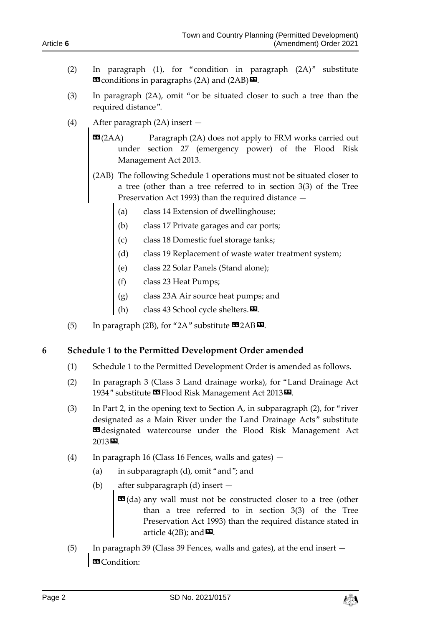- (2) In paragraph (1), for "condition in paragraph (2A)" substitute  $\text{or}$  conditions in paragraphs (2A) and (2AB) $\text{or}$ .
- (3) In paragraph (2A), omit "or be situated closer to such a tree than the required distance".
- (4) After paragraph (2A) insert
	- $\mathbf{G}(2AA)$  Paragraph (2A) does not apply to FRM works carried out under section 27 (emergency power) of the Flood Risk Management Act 2013.
	- (2AB) The following Schedule 1 operations must not be situated closer to a tree (other than a tree referred to in section 3(3) of the Tree Preservation Act 1993) than the required distance —
		- (a) class 14 Extension of dwellinghouse;
		- (b) class 17 Private garages and car ports;
		- (c) class 18 Domestic fuel storage tanks;
		- (d) class 19 Replacement of waste water treatment system;
		- (e) class 22 Solar Panels (Stand alone);
		- (f) class 23 Heat Pumps;
		- (g) class 23A Air source heat pumps; and
		- (h) class 43 School cycle shelters. $\mathbf{E}$ .
- (5) In paragraph (2B), for "2A" substitute  $\text{C2AB} \,\Sigma$ .

# **6 Schedule 1 to the Permitted Development Order amended**

- (1) Schedule 1 to the Permitted Development Order is amended as follows.
- (2) In paragraph 3 (Class 3 Land drainage works), for "Land Drainage Act 1934" substitute **II** Flood Risk Management Act 2013<sup>D</sup>.
- (3) In Part 2, in the opening text to Section A, in subparagraph (2), for "river designated as a Main River under the Land Drainage Acts" substitute **Edesignated** watercourse under the Flood Risk Management Act 2013».
- (4) In paragraph 16 (Class 16 Fences, walls and gates)
	- (a) in subparagraph (d), omit "and"; and
	- (b) after subparagraph (d) insert
		- **E**d(da) any wall must not be constructed closer to a tree (other than a tree referred to in section 3(3) of the Tree Preservation Act 1993) than the required distance stated in article  $4(2B)$ ; and  $\blacksquare$ .
- (5) In paragraph 39 (Class 39 Fences, walls and gates), at the end insert **B** Condition:

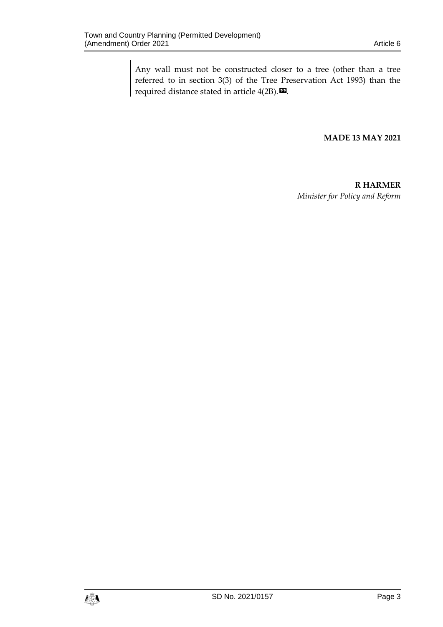Any wall must not be constructed closer to a tree (other than a tree referred to in section 3(3) of the Tree Preservation Act 1993) than the required distance stated in article  $4(2B)$ .

#### **MADE 13 MAY 2021**

**R HARMER** *Minister for Policy and Reform*